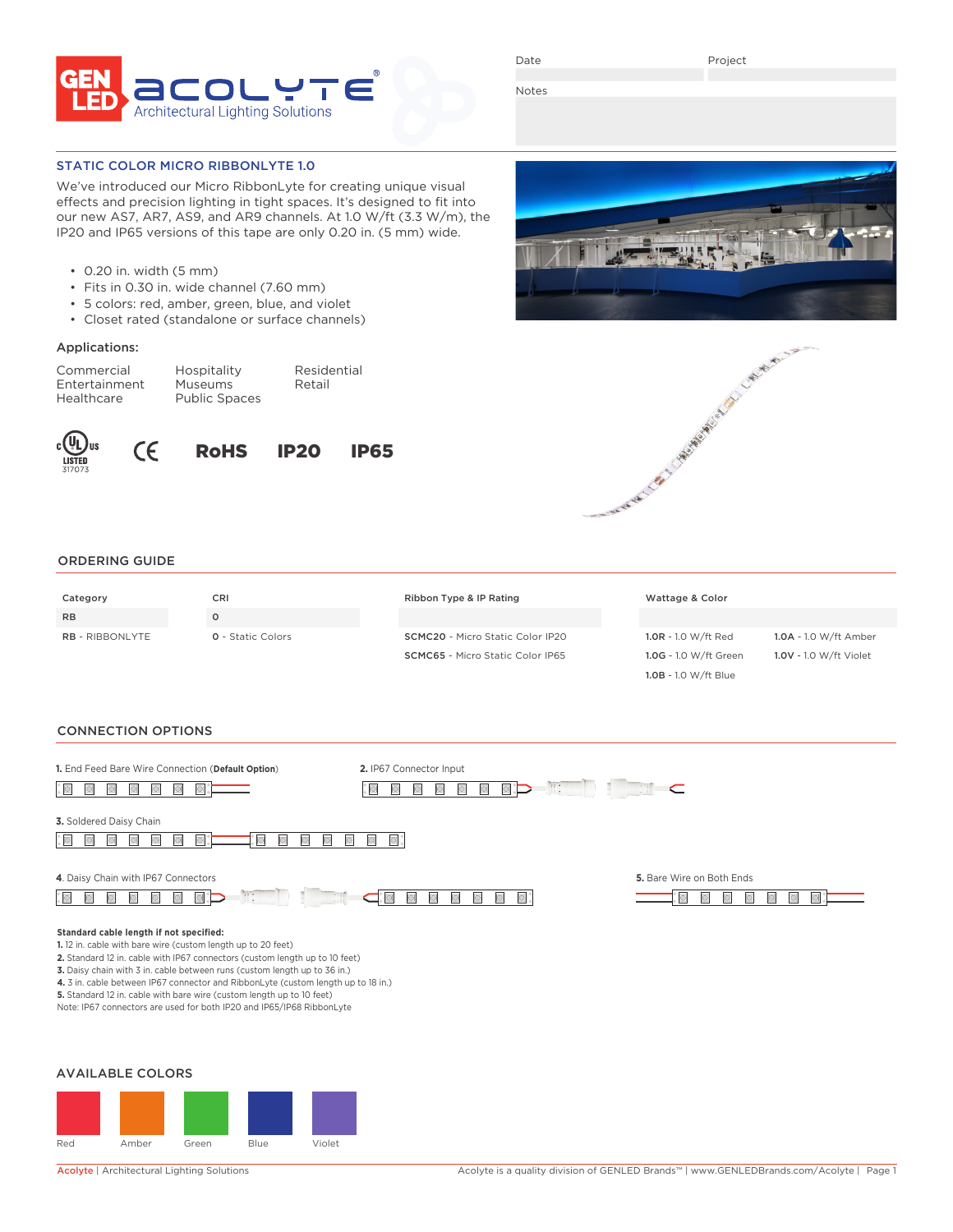

Date

Project

Notes

STATIC COLOR MICRO RIBBONLYTE 1.0

We've introduced our Micro RibbonLyte for creating unique visual effects and precision lighting in tight spaces. It's designed to fit into our new AS7, AR7, AS9, and AR9 channels. At 1.0 W/ft (3.3 W/m), the IP20 and IP65 versions of this tape are only 0.20 in. (5 mm) wide.

- 0.20 in. width (5 mm)
- Fits in 0.30 in. wide channel (7.60 mm)
- 5 colors: red, amber, green, blue, and violet
- Closet rated (standalone or surface channels)

# Applications:

| Commercial    | Hospitality          | Residential |
|---------------|----------------------|-------------|
| Entertainment | <b>Museums</b>       | Retail      |
| Healthcare    | <b>Public Spaces</b> |             |









1.0B - 1.0 W/ft Blue

#### ORDERING GUIDE

| Category               | CRI                      | Ribbon Type & IP Rating                 | Wattage & Color       |                        |
|------------------------|--------------------------|-----------------------------------------|-----------------------|------------------------|
| <b>RB</b>              |                          |                                         |                       |                        |
| <b>RB</b> - RIBBONLYTE | <b>Q</b> - Static Colors | <b>SCMC20</b> - Micro Static Color IP20 | 1.0R - 1.0 W/ft Red   | 1.0A - 1.0 W/ft Amber  |
|                        |                          | <b>SCMC65</b> - Micro Static Color IP65 | 1.0G - 1.0 W/ft Green | 1.0V - 1.0 W/ft Violet |

### CONNECTION OPTIONS

| 1. End Feed Bare Wire Connection (Default Option)                                                                                                                                                                                                                                                                                                                                                                                                                                                         | 2. IP67 Connector Input                      | $\mathbb{R}$ :            |  |
|-----------------------------------------------------------------------------------------------------------------------------------------------------------------------------------------------------------------------------------------------------------------------------------------------------------------------------------------------------------------------------------------------------------------------------------------------------------------------------------------------------------|----------------------------------------------|---------------------------|--|
| 3. Soldered Daisy Chain                                                                                                                                                                                                                                                                                                                                                                                                                                                                                   |                                              |                           |  |
| 4. Daisy Chain with IP67 Connectors<br>$\mathbb{R}$ :<br>$\Box$                                                                                                                                                                                                                                                                                                                                                                                                                                           | $\Box$<br>$\circlearrowright$<br>$\Box$<br>▣ | 5. Bare Wire on Both Ends |  |
| Standard cable length if not specified:<br>1.12 in. cable with bare wire (custom length up to 20 feet)<br>2. Standard 12 in. cable with IP67 connectors (custom length up to 10 feet)<br>3. Daisy chain with 3 in. cable between runs (custom length up to 36 in.)<br>4. 3 in. cable between IP67 connector and RibbonLyte (custom length up to 18 in.)<br>5. Standard 12 in. cable with bare wire (custom length up to 10 feet)<br>Note: IP67 connectors are used for both IP20 and IP65/IP68 RibbonLyte |                                              |                           |  |
| <b>AVAILABLE COLORS</b>                                                                                                                                                                                                                                                                                                                                                                                                                                                                                   |                                              |                           |  |
|                                                                                                                                                                                                                                                                                                                                                                                                                                                                                                           |                                              |                           |  |

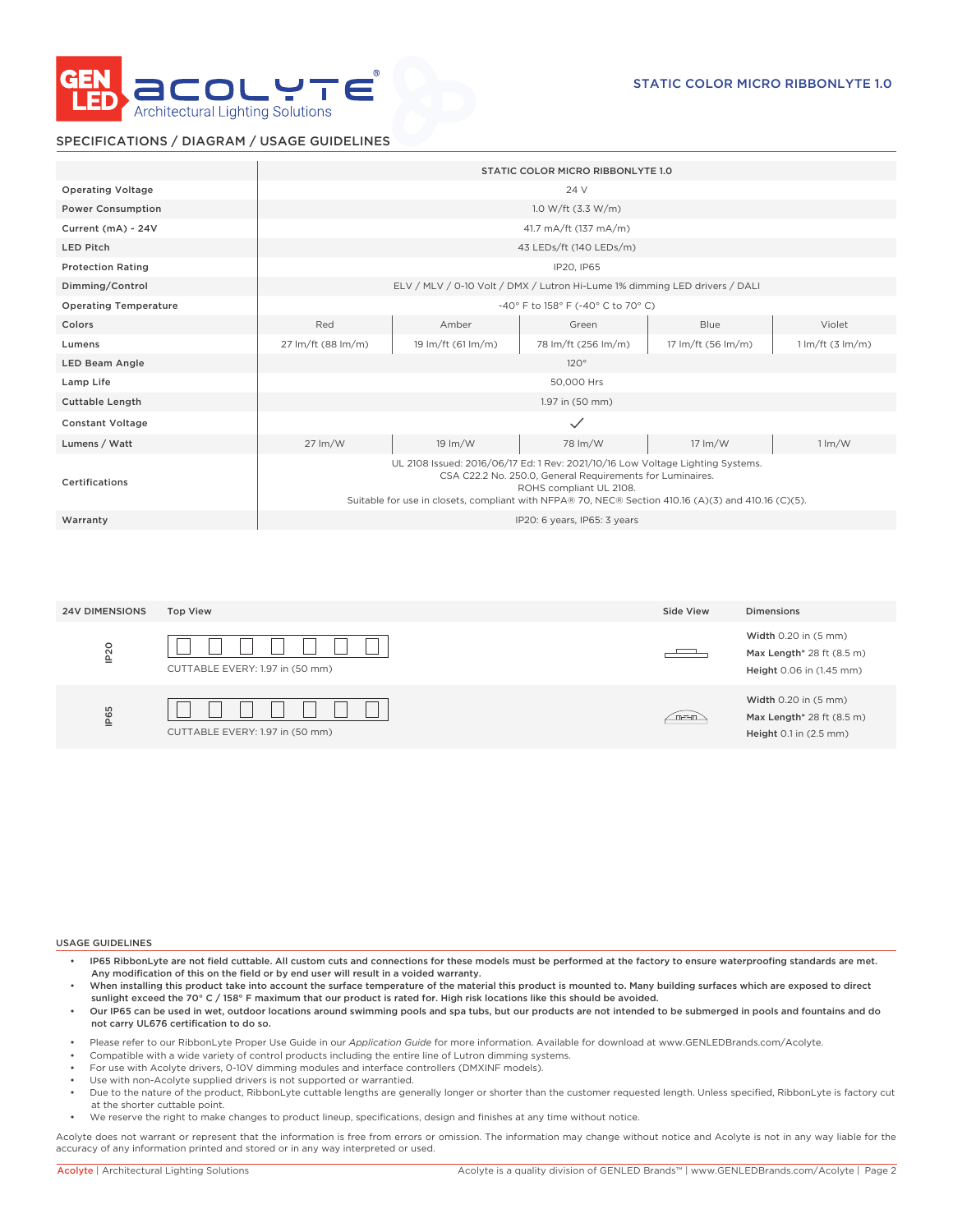

## SPECIFICATIONS / DIAGRAM / USAGE GUIDELINES

|                              |                            |                            | STATIC COLOR MICRO RIBBONLYTE 1.0                                                                                                                                                                                                                                             |                            |                                     |
|------------------------------|----------------------------|----------------------------|-------------------------------------------------------------------------------------------------------------------------------------------------------------------------------------------------------------------------------------------------------------------------------|----------------------------|-------------------------------------|
| <b>Operating Voltage</b>     |                            |                            | 24 V                                                                                                                                                                                                                                                                          |                            |                                     |
| <b>Power Consumption</b>     |                            |                            | 1.0 W/ft $(3.3 \text{ W/m})$                                                                                                                                                                                                                                                  |                            |                                     |
| Current (mA) - 24V           |                            |                            | 41.7 mA/ft (137 mA/m)                                                                                                                                                                                                                                                         |                            |                                     |
| <b>LED Pitch</b>             |                            |                            | 43 LEDs/ft (140 LEDs/m)                                                                                                                                                                                                                                                       |                            |                                     |
| <b>Protection Rating</b>     |                            |                            | IP20, IP65                                                                                                                                                                                                                                                                    |                            |                                     |
| Dimming/Control              |                            |                            | ELV / MLV / 0-10 Volt / DMX / Lutron Hi-Lume 1% dimming LED drivers / DALI                                                                                                                                                                                                    |                            |                                     |
| <b>Operating Temperature</b> |                            |                            | -40° F to 158° F (-40° C to 70° C)                                                                                                                                                                                                                                            |                            |                                     |
| Colors                       | Red                        | Amber                      | Green                                                                                                                                                                                                                                                                         | Blue                       | Violet                              |
| Lumens                       | 27 lm/ft (88 lm/m)         | 19 lm/ft (61 lm/m)         | 78 lm/ft (256 lm/m)                                                                                                                                                                                                                                                           | 17 lm/ft (56 lm/m)         | $1 \text{Im/ft}$ (3 $\text{Im/m}$ ) |
| <b>LED Beam Angle</b>        |                            |                            | 120°                                                                                                                                                                                                                                                                          |                            |                                     |
| Lamp Life                    |                            |                            | 50,000 Hrs                                                                                                                                                                                                                                                                    |                            |                                     |
| <b>Cuttable Length</b>       |                            |                            | 1.97 in (50 mm)                                                                                                                                                                                                                                                               |                            |                                     |
| <b>Constant Voltage</b>      |                            |                            | $\checkmark$                                                                                                                                                                                                                                                                  |                            |                                     |
| Lumens / Watt                | $27 \, \text{Im}/\text{W}$ | $19 \, \text{Im}/\text{W}$ | 78 lm/W                                                                                                                                                                                                                                                                       | $17 \, \text{Im}/\text{W}$ | $1 \, \mathrm{Im}/\mathrm{W}$       |
| Certifications               |                            |                            | UL 2108 Issued: 2016/06/17 Ed: 1 Rev: 2021/10/16 Low Voltage Lighting Systems.<br>CSA C22.2 No. 250.0, General Requirements for Luminaires.<br>ROHS compliant UL 2108.<br>Suitable for use in closets, compliant with NFPA® 70, NEC® Section 410.16 (A)(3) and 410.16 (C)(5). |                            |                                     |
| Warranty                     |                            |                            | IP20: 6 years, IP65: 3 years                                                                                                                                                                                                                                                  |                            |                                     |

| <b>24V DIMENSIONS</b> | <b>Top View</b>                 | Side View | Dimensions                                                                    |
|-----------------------|---------------------------------|-----------|-------------------------------------------------------------------------------|
| IP <sub>20</sub>      | CUTTABLE EVERY: 1.97 in (50 mm) | ___       | Width 0.20 in (5 mm)<br>Max Length* 28 ft (8.5 m)<br>Height 0.06 in (1.45 mm) |
| IP65                  | CUTTABLE EVERY: 1.97 in (50 mm) | m-F-m     | Width 0.20 in (5 mm)<br>Max Length* 28 ft (8.5 m)<br>Height 0.1 in (2.5 mm)   |

#### USAGE GUIDELINES

- IP65 RibbonLyte are not field cuttable. All custom cuts and connections for these models must be performed at the factory to ensure waterproofing standards are met. Any modification of this on the field or by end user will result in a voided warranty.
- When installing this product take into account the surface temperature of the material this product is mounted to. Many building surfaces which are exposed to direct sunlight exceed the 70° C / 158° F maximum that our product is rated for. High risk locations like this should be avoided.
- Our IP65 can be used in wet, outdoor locations around swimming pools and spa tubs, but our products are not intended to be submerged in pools and fountains and do not carry UL676 certification to do so.
- Please refer to our RibbonLyte Proper Use Guide in our *Application Guide* for more information. Available for download at www.GENLEDBrands.com/Acolyte.
- Compatible with a wide variety of control products including the entire line of Lutron dimming systems.
- For use with Acolyte drivers, 0-10V dimming modules and interface controllers (DMXINF models).
- Use with non-Acolyte supplied drivers is not supported or warrantied.
- Due to the nature of the product, RibbonLyte cuttable lengths are generally longer or shorter than the customer requested length. Unless specified, RibbonLyte is factory cut at the shorter cuttable point.
- We reserve the right to make changes to product lineup, specifications, design and finishes at any time without notice.

Acolyte does not warrant or represent that the information is free from errors or omission. The information may change without notice and Acolyte is not in any way liable for the accuracy of any information printed and stored or in any way interpreted or used.